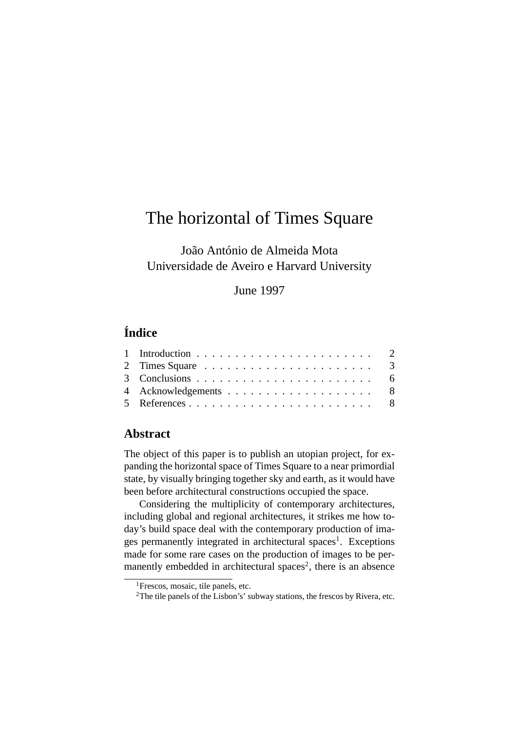# The horizontal of Times Square

João António de Almeida Mota Universidade de Aveiro e Harvard University

## June 1997

# **Índice**

| 2 Times Square $\ldots \ldots \ldots \ldots \ldots \ldots \ldots$ 3 |  |
|---------------------------------------------------------------------|--|
|                                                                     |  |
|                                                                     |  |
|                                                                     |  |
|                                                                     |  |

### **Abstract**

The object of this paper is to publish an utopian project, for expanding the horizontal space of Times Square to a near primordial state, by visually bringing together sky and earth, as it would have been before architectural constructions occupied the space.

Considering the multiplicity of contemporary architectures, including global and regional architectures, it strikes me how today's build space deal with the contemporary production of ima-ges permanently integrated in architectural spaces<sup>[1](#page-0-0)</sup>. Exceptions made for some rare cases on the production of images to be per-manently embedded in architectural spaces<sup>[2](#page-0-1)</sup>, there is an absence

<span id="page-0-0"></span><sup>&</sup>lt;sup>1</sup>Frescos, mosaic, tile panels, etc.

<span id="page-0-1"></span><sup>2</sup>The tile panels of the Lisbon's' subway stations, the frescos by Rivera, etc.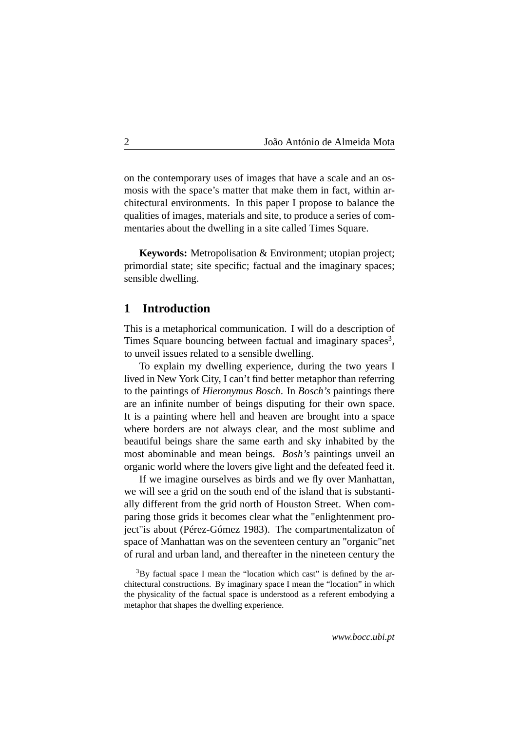2 João António de Almeida Mota

on the contemporary uses of images that have a scale and an osmosis with the space's matter that make them in fact, within architectural environments. In this paper I propose to balance the qualities of images, materials and site, to produce a series of commentaries about the dwelling in a site called Times Square.

**Keywords:** Metropolisation & Environment; utopian project; primordial state; site specific; factual and the imaginary spaces; sensible dwelling.

#### <span id="page-1-0"></span>**1 Introduction**

This is a metaphorical communication. I will do a description of Times Square bouncing between factual and imaginary spaces<sup>[3](#page-1-1)</sup>, to unveil issues related to a sensible dwelling.

To explain my dwelling experience, during the two years I lived in New York City, I can't find better metaphor than referring to the paintings of *Hieronymus Bosch*. In *Bosch's* paintings there are an infinite number of beings disputing for their own space. It is a painting where hell and heaven are brought into a space where borders are not always clear, and the most sublime and beautiful beings share the same earth and sky inhabited by the most abominable and mean beings. *Bosh's* paintings unveil an organic world where the lovers give light and the defeated feed it.

If we imagine ourselves as birds and we fly over Manhattan, we will see a grid on the south end of the island that is substantially different from the grid north of Houston Street. When comparing those grids it becomes clear what the "enlightenment project"is about (Pérez-Gómez 1983). The compartmentalizaton of space of Manhattan was on the seventeen century an "organic"net of rural and urban land, and thereafter in the nineteen century the

<span id="page-1-1"></span> $3$ By factual space I mean the "location which cast" is defined by the architectural constructions. By imaginary space I mean the "location" in which the physicality of the factual space is understood as a referent embodying a metaphor that shapes the dwelling experience.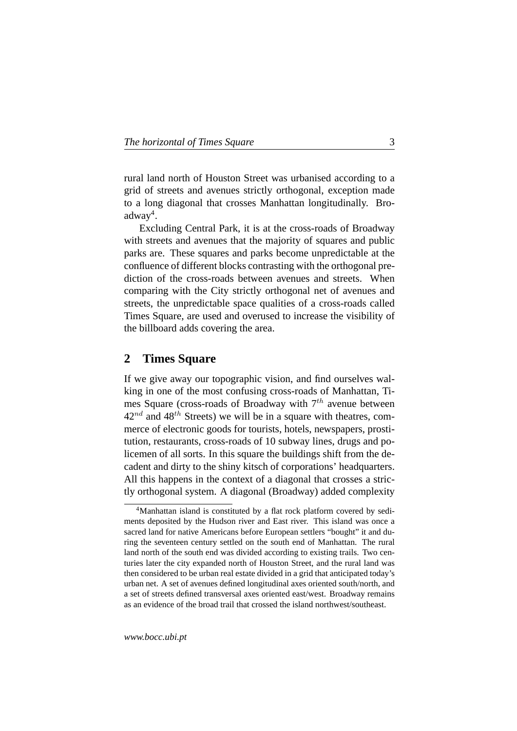rural land north of Houston Street was urbanised according to a grid of streets and avenues strictly orthogonal, exception made to a long diagonal that crosses Manhattan longitudinally. Bro-adway<sup>[4](#page-2-1)</sup>.

Excluding Central Park, it is at the cross-roads of Broadway with streets and avenues that the majority of squares and public parks are. These squares and parks become unpredictable at the confluence of different blocks contrasting with the orthogonal prediction of the cross-roads between avenues and streets. When comparing with the City strictly orthogonal net of avenues and streets, the unpredictable space qualities of a cross-roads called Times Square, are used and overused to increase the visibility of the billboard adds covering the area.

#### <span id="page-2-0"></span>**2 Times Square**

If we give away our topographic vision, and find ourselves walking in one of the most confusing cross-roads of Manhattan, Times Square (cross-roads of Broadway with  $7<sup>th</sup>$  avenue between  $42^{nd}$  and  $48^{th}$  Streets) we will be in a square with theatres, commerce of electronic goods for tourists, hotels, newspapers, prostitution, restaurants, cross-roads of 10 subway lines, drugs and policemen of all sorts. In this square the buildings shift from the decadent and dirty to the shiny kitsch of corporations' headquarters. All this happens in the context of a diagonal that crosses a strictly orthogonal system. A diagonal (Broadway) added complexity

<span id="page-2-1"></span><sup>4</sup>Manhattan island is constituted by a flat rock platform covered by sediments deposited by the Hudson river and East river. This island was once a sacred land for native Americans before European settlers "bought" it and during the seventeen century settled on the south end of Manhattan. The rural land north of the south end was divided according to existing trails. Two centuries later the city expanded north of Houston Street, and the rural land was then considered to be urban real estate divided in a grid that anticipated today's urban net. A set of avenues defined longitudinal axes oriented south/north, and a set of streets defined transversal axes oriented east/west. Broadway remains as an evidence of the broad trail that crossed the island northwest/southeast.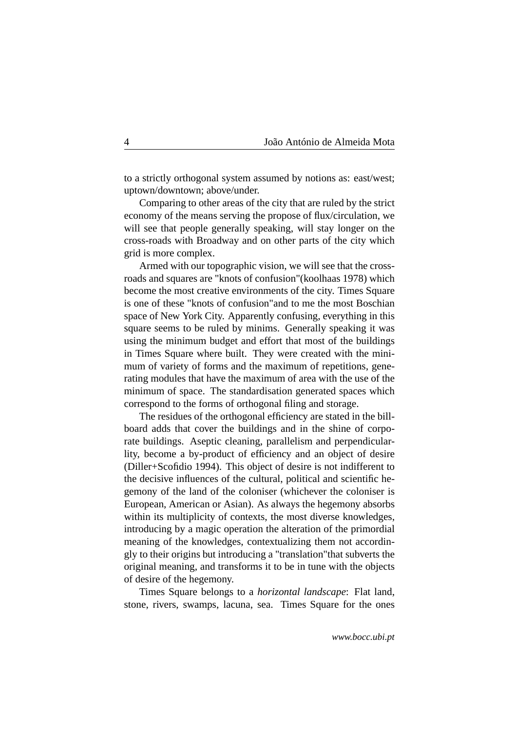4 João António de Almeida Mota

to a strictly orthogonal system assumed by notions as: east/west; uptown/downtown; above/under.

Comparing to other areas of the city that are ruled by the strict economy of the means serving the propose of flux/circulation, we will see that people generally speaking, will stay longer on the cross-roads with Broadway and on other parts of the city which grid is more complex.

Armed with our topographic vision, we will see that the crossroads and squares are "knots of confusion"(koolhaas 1978) which become the most creative environments of the city. Times Square is one of these "knots of confusion"and to me the most Boschian space of New York City. Apparently confusing, everything in this square seems to be ruled by minims. Generally speaking it was using the minimum budget and effort that most of the buildings in Times Square where built. They were created with the minimum of variety of forms and the maximum of repetitions, generating modules that have the maximum of area with the use of the minimum of space. The standardisation generated spaces which correspond to the forms of orthogonal filing and storage.

The residues of the orthogonal efficiency are stated in the billboard adds that cover the buildings and in the shine of corporate buildings. Aseptic cleaning, parallelism and perpendicularlity, become a by-product of efficiency and an object of desire (Diller+Scofidio 1994). This object of desire is not indifferent to the decisive influences of the cultural, political and scientific hegemony of the land of the coloniser (whichever the coloniser is European, American or Asian). As always the hegemony absorbs within its multiplicity of contexts, the most diverse knowledges, introducing by a magic operation the alteration of the primordial meaning of the knowledges, contextualizing them not accordingly to their origins but introducing a "translation"that subverts the original meaning, and transforms it to be in tune with the objects of desire of the hegemony.

Times Square belongs to a *horizontal landscape*: Flat land, stone, rivers, swamps, lacuna, sea. Times Square for the ones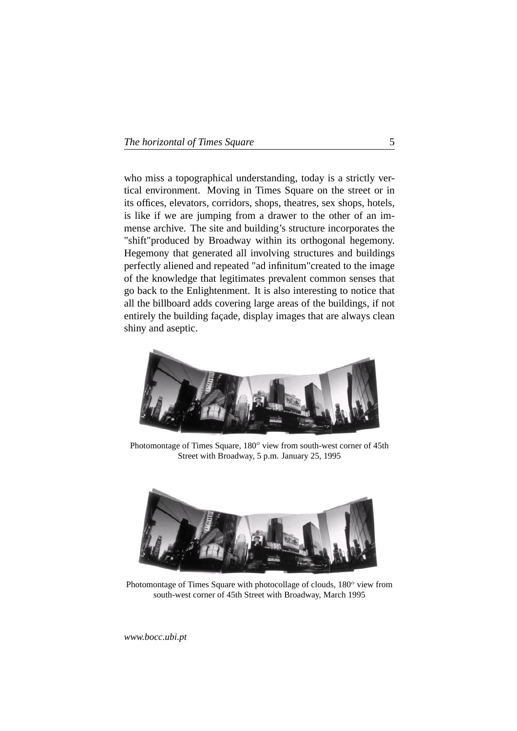|  |  | The horizontal of Times Square |  |  |
|--|--|--------------------------------|--|--|
|--|--|--------------------------------|--|--|

who miss a topographical understanding, today is a strictly vertical environment. Moving in Times Square on the street or in its offices, elevators, corridors, shops, theatres, sex shops, hotels, is like if we are jumping from a drawer to the other of an immense archive. The site and building's structure incorporates the "shift"produced by Broadway within its orthogonal hegemony. Hegemony that generated all involving structures and buildings perfectly aliened and repeated "ad infinitum"created to the image of the knowledge that legitimates prevalent common senses that go back to the Enlightenment. It is also interesting to notice that all the billboard adds covering large areas of the buildings, if not entirely the building façade, display images that are always clean shiny and aseptic.



Photomontage of Times Square,  $180^\circ$  view from south-west corner of 45th Street with Broadway, 5 p.m. January 25, 1995



Photomontage of Times Square with photocollage of clouds,  $180^\circ$  view from south-west corner of 45th Street with Broadway, March 1995

*www.bocc.ubi.pt*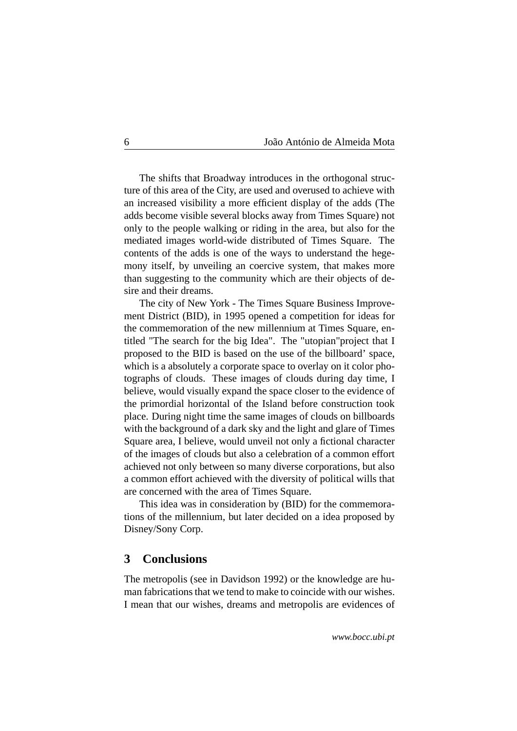6 João António de Almeida Mota

The shifts that Broadway introduces in the orthogonal structure of this area of the City, are used and overused to achieve with an increased visibility a more efficient display of the adds (The adds become visible several blocks away from Times Square) not only to the people walking or riding in the area, but also for the mediated images world-wide distributed of Times Square. The contents of the adds is one of the ways to understand the hegemony itself, by unveiling an coercive system, that makes more than suggesting to the community which are their objects of desire and their dreams.

The city of New York - The Times Square Business Improvement District (BID), in 1995 opened a competition for ideas for the commemoration of the new millennium at Times Square, entitled "The search for the big Idea". The "utopian"project that I proposed to the BID is based on the use of the billboard' space, which is a absolutely a corporate space to overlay on it color photographs of clouds. These images of clouds during day time, I believe, would visually expand the space closer to the evidence of the primordial horizontal of the Island before construction took place. During night time the same images of clouds on billboards with the background of a dark sky and the light and glare of Times Square area, I believe, would unveil not only a fictional character of the images of clouds but also a celebration of a common effort achieved not only between so many diverse corporations, but also a common effort achieved with the diversity of political wills that are concerned with the area of Times Square.

This idea was in consideration by (BID) for the commemorations of the millennium, but later decided on a idea proposed by Disney/Sony Corp.

#### <span id="page-5-0"></span>**3 Conclusions**

The metropolis (see in Davidson 1992) or the knowledge are human fabrications that we tend to make to coincide with our wishes. I mean that our wishes, dreams and metropolis are evidences of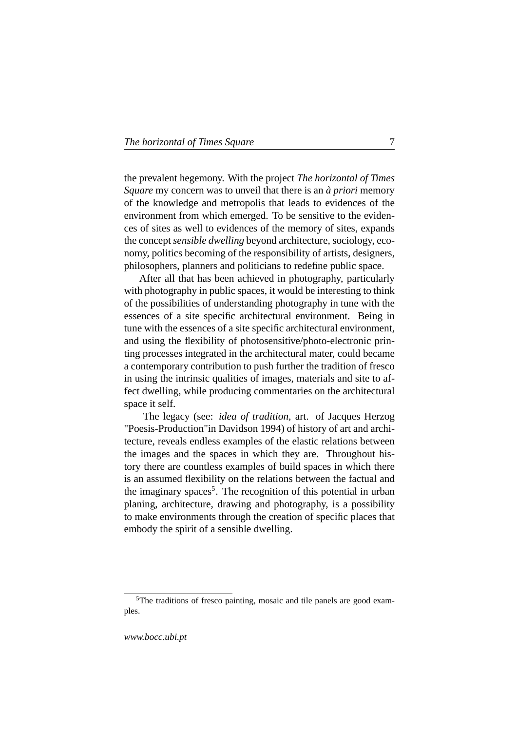|  |  | The horizontal of Times Square |  |
|--|--|--------------------------------|--|
|--|--|--------------------------------|--|

the prevalent hegemony. With the project *The horizontal of Times Square* my concern was to unveil that there is an *à priori* memory of the knowledge and metropolis that leads to evidences of the environment from which emerged. To be sensitive to the evidences of sites as well to evidences of the memory of sites, expands the concept *sensible dwelling* beyond architecture, sociology, economy, politics becoming of the responsibility of artists, designers, philosophers, planners and politicians to redefine public space.

After all that has been achieved in photography, particularly with photography in public spaces, it would be interesting to think of the possibilities of understanding photography in tune with the essences of a site specific architectural environment. Being in tune with the essences of a site specific architectural environment, and using the flexibility of photosensitive/photo-electronic printing processes integrated in the architectural mater, could became a contemporary contribution to push further the tradition of fresco in using the intrinsic qualities of images, materials and site to affect dwelling, while producing commentaries on the architectural space it self.

The legacy (see: *idea of tradition,* art. of Jacques Herzog "Poesis-Production"in Davidson 1994) of history of art and architecture, reveals endless examples of the elastic relations between the images and the spaces in which they are. Throughout history there are countless examples of build spaces in which there is an assumed flexibility on the relations between the factual and the imaginary spaces<sup>[5](#page-6-0)</sup>. The recognition of this potential in urban planing, architecture, drawing and photography, is a possibility to make environments through the creation of specific places that embody the spirit of a sensible dwelling.

<span id="page-6-0"></span><sup>&</sup>lt;sup>5</sup>The traditions of fresco painting, mosaic and tile panels are good examples.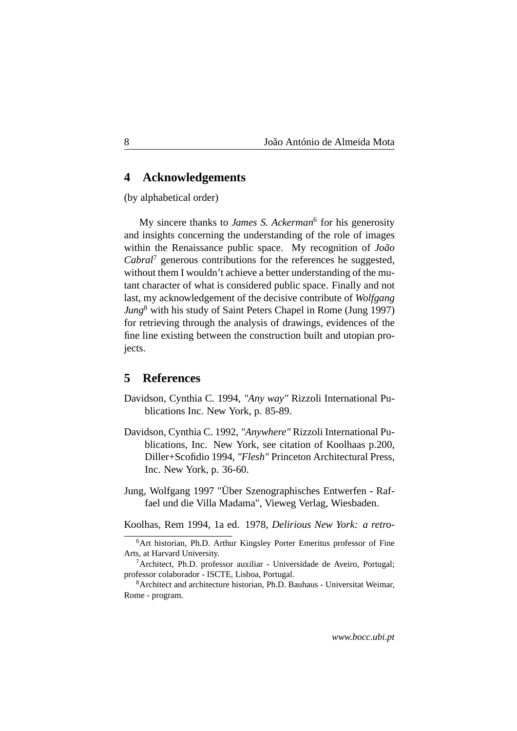#### <span id="page-7-0"></span>**4 Acknowledgements**

(by alphabetical order)

My sincere thanks to *James S. Ackerman*[6](#page-7-2) for his generosity and insights concerning the understanding of the role of images within the Renaissance public space. My recognition of *João Cabral*[7](#page-7-3) generous contributions for the references he suggested, without them I wouldn't achieve a better understanding of the mutant character of what is considered public space. Finally and not last, my acknowledgement of the decisive contribute of *Wolfgang Jung*[8](#page-7-4) with his study of Saint Peters Chapel in Rome (Jung 1997) for retrieving through the analysis of drawings, evidences of the fine line existing between the construction built and utopian projects.

#### <span id="page-7-1"></span>**5 References**

- Davidson, Cynthia C. 1994, *"Any way"* Rizzoli International Publications Inc. New York, p. 85-89.
- Davidson, Cynthia C. 1992, *"Anywhere"* Rizzoli International Publications, Inc. New York, see citation of Koolhaas p.200, Diller+Scofidio 1994, *"Flesh"* Princeton Architectural Press, Inc. New York, p. 36-60.
- Jung, Wolfgang 1997 "Über Szenographisches Entwerfen Raffael und die Villa Madama", Vieweg Verlag, Wiesbaden.

Koolhas, Rem 1994, 1a ed. 1978, *Delirious New York: a retro-*

<span id="page-7-2"></span><sup>&</sup>lt;sup>6</sup>Art historian, Ph.D. Arthur Kingsley Porter Emeritus professor of Fine Arts, at Harvard University.

<span id="page-7-3"></span> $7$ Architect, Ph.D. professor auxiliar - Universidade de Aveiro, Portugal; professor colaborador - ISCTE, Lisboa, Portugal.

<span id="page-7-4"></span><sup>8</sup>Architect and architecture historian, Ph.D. Bauhaus - Universitat Weimar, Rome - program.